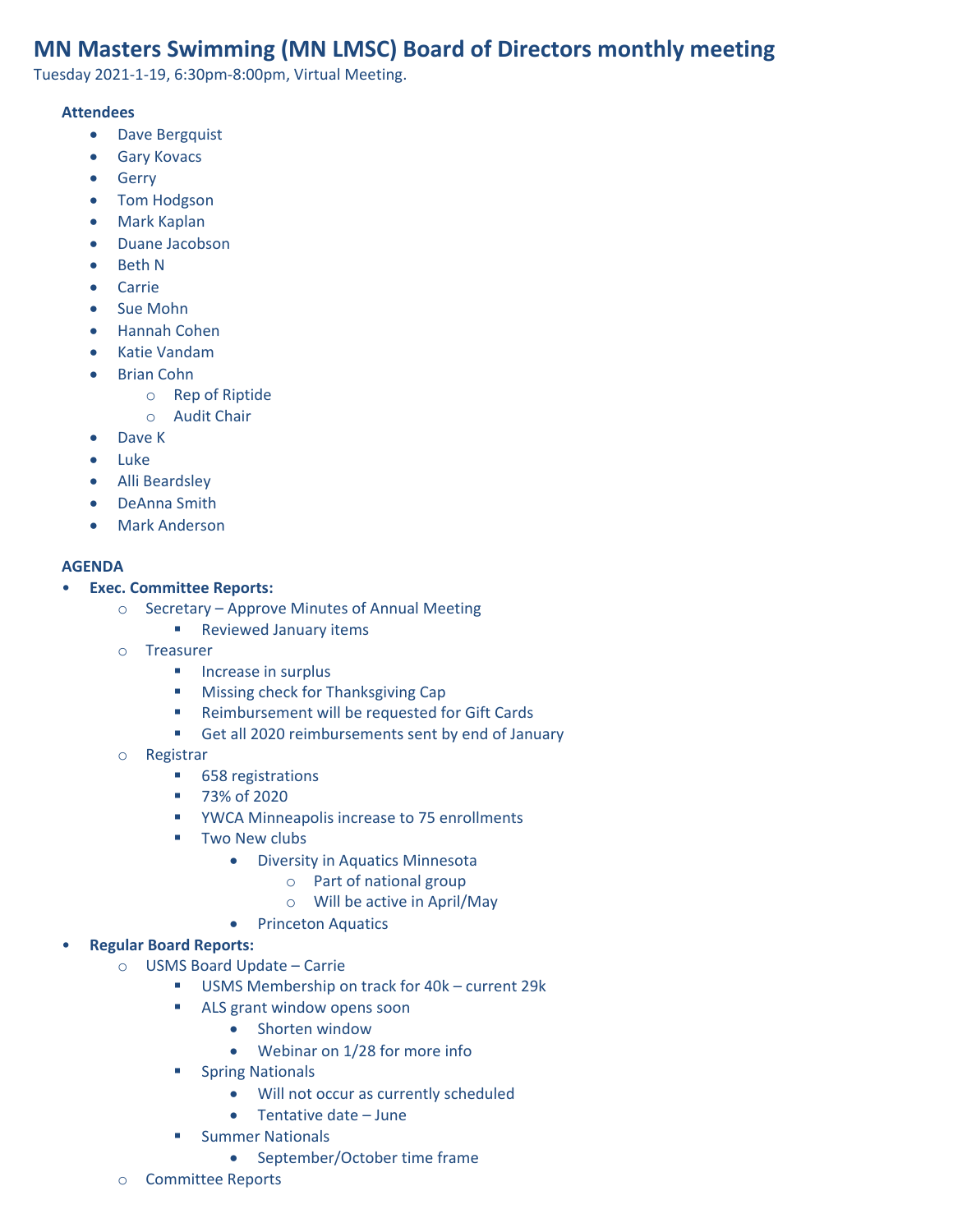# **MN Masters Swimming (MN LMSC) Board of Directors monthly meeting**

Tuesday 2021-1-19, 6:30pm-8:00pm, Virtual Meeting.

#### **Attendees**

- Dave Bergquist
- Gary Kovacs
- Gerry
- Tom Hodgson
- Mark Kaplan
- Duane Jacobson
- Beth N
- Carrie
- Sue Mohn
- Hannah Cohen
- Katie Vandam
- Brian Cohn
	- o Rep of Riptide
	- o Audit Chair
- Dave K
- Luke
- Alli Beardsley
- DeAnna Smith
- Mark Anderson

#### **AGENDA**

### • **Exec. Committee Reports:**

- o Secretary Approve Minutes of Annual Meeting
	- Reviewed January items
- o Treasurer
	- Increase in surplus
	- Missing check for Thanksgiving Cap
	- Reimbursement will be requested for Gift Cards
	- Get all 2020 reimbursements sent by end of January
- o Registrar
	- 658 registrations
	- 73% of 2020
	- YWCA Minneapolis increase to 75 enrollments
	- Two New clubs
		- Diversity in Aquatics Minnesota
			- o Part of national group
			- o Will be active in April/May
		- Princeton Aquatics

# • **Regular Board Reports:**

- o USMS Board Update Carrie
	- USMS Membership on track for 40k current 29k
	- ALS grant window opens soon
		- Shorten window
		- Webinar on 1/28 for more info
	- Spring Nationals
		- Will not occur as currently scheduled
		- Tentative date June
	- **■** Summer Nationals
		- September/October time frame
- o Committee Reports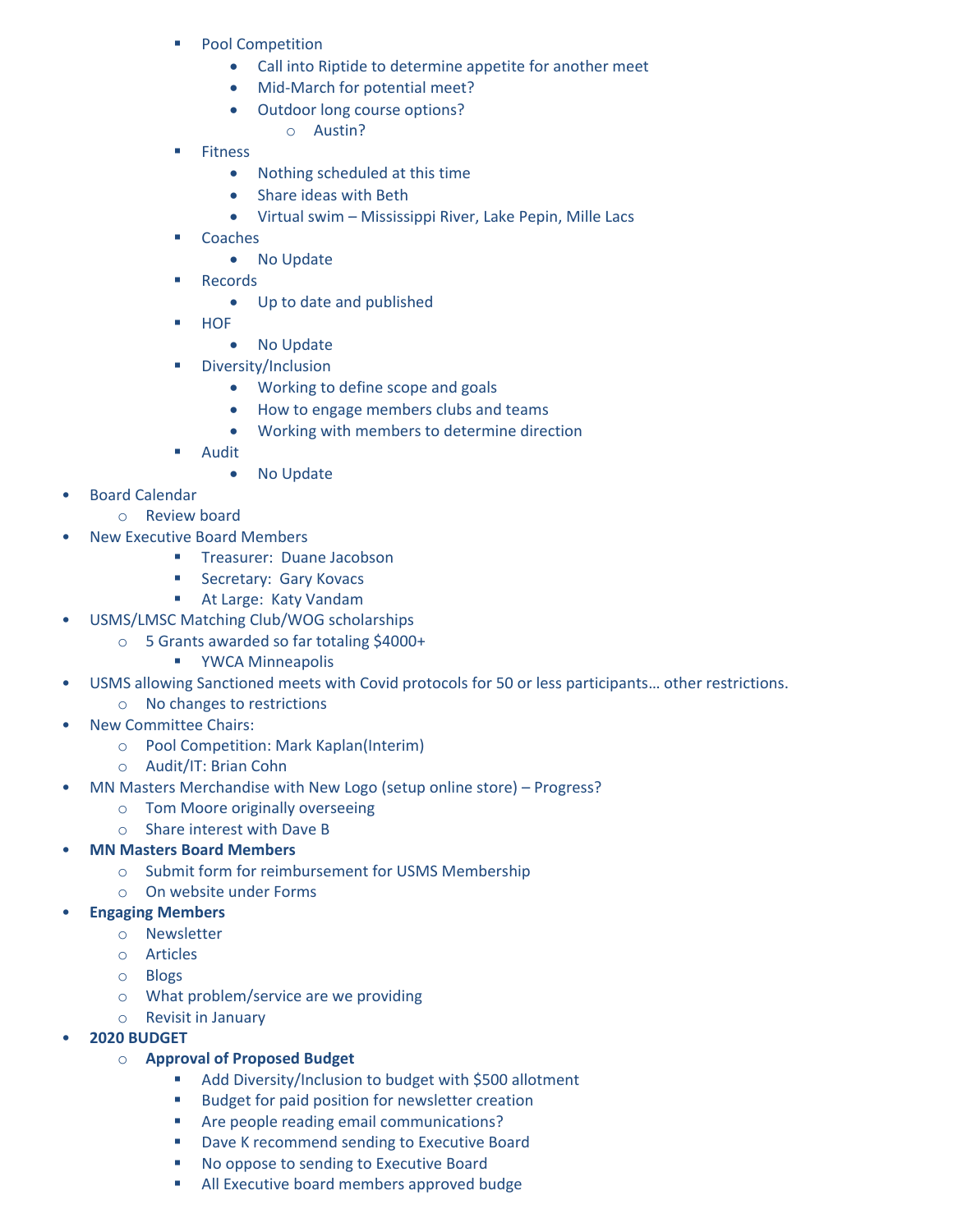- Pool Competition
	- Call into Riptide to determine appetite for another meet
	- Mid-March for potential meet?
	- Outdoor long course options?
		- o Austin?
- Fitness
	- Nothing scheduled at this time
	- Share ideas with Beth
	- Virtual swim Mississippi River, Lake Pepin, Mille Lacs
- Coaches
	- No Update
- **Records** 
	- Up to date and published
- HOF
	- No Update
- Diversity/Inclusion
	- Working to define scope and goals
	- How to engage members clubs and teams
	- Working with members to determine direction
- Audit
	- No Update
- Board Calendar
	- o Review board
- New Executive Board Members
	- **■** Treasurer: Duane Jacobson
	- Secretary: Gary Kovacs
	- At Large: Katy Vandam
- USMS/LMSC Matching Club/WOG scholarships
	- o 5 Grants awarded so far totaling \$4000+
		- YWCA Minneapolis
- USMS allowing Sanctioned meets with Covid protocols for 50 or less participants… other restrictions.
	- o No changes to restrictions
- New Committee Chairs:
	- o Pool Competition: Mark Kaplan(Interim)
	- o Audit/IT: Brian Cohn
- MN Masters Merchandise with New Logo (setup online store) Progress?
	- o Tom Moore originally overseeing
	- o Share interest with Dave B
- **MN Masters Board Members**
	- o Submit form for reimbursement for USMS Membership
	- o On website under Forms
- **Engaging Members**
	- o Newsletter
	- o Articles
	- o Blogs
	- o What problem/service are we providing
	- o Revisit in January
- **2020 BUDGET**
	- o **Approval of Proposed Budget**
		- Add Diversity/Inclusion to budget with \$500 allotment
		- Budget for paid position for newsletter creation
		- Are people reading email communications?
		- Dave K recommend sending to Executive Board
		- No oppose to sending to Executive Board
		- All Executive board members approved budge